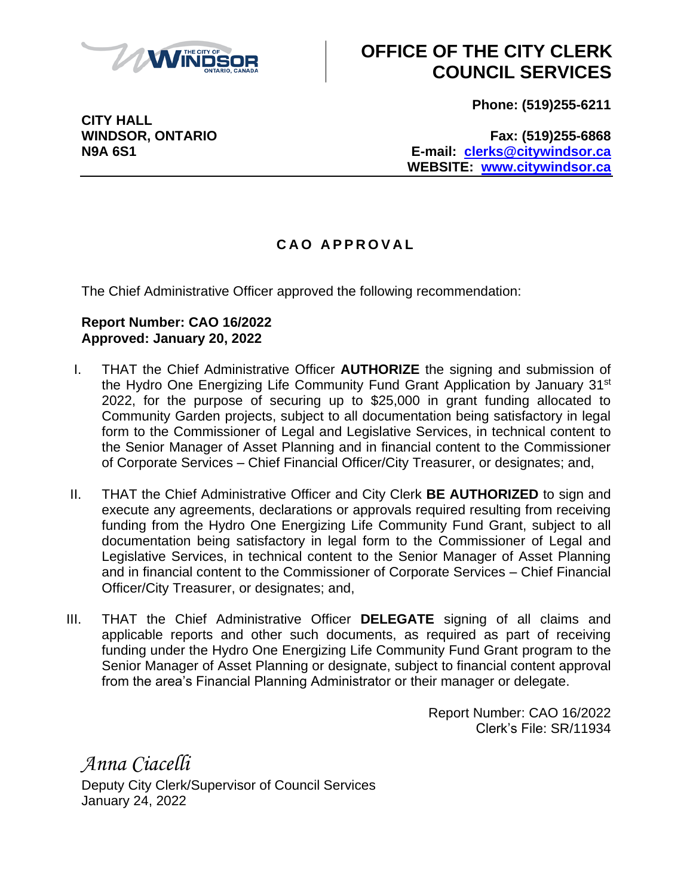

## **OFFICE OF THE CITY CLERK COUNCIL SERVICES**

**Phone: (519)255-6211**

**CITY HALL**

**WINDSOR, ONTARIO Fax: (519)255-6868 N9A 6S1 E-mail: [clerks@citywindsor.ca](mailto:clerks@citywindsor.ca) WEBSITE: [www.citywindsor.ca](http://www.citywindsor.ca/)**

## **C A O A P P R O V A L**

The Chief Administrative Officer approved the following recommendation:

## **Report Number: CAO 16/2022 Approved: January 20, 2022**

- I. THAT the Chief Administrative Officer **AUTHORIZE** the signing and submission of the Hydro One Energizing Life Community Fund Grant Application by January 31<sup>st</sup> 2022, for the purpose of securing up to \$25,000 in grant funding allocated to Community Garden projects, subject to all documentation being satisfactory in legal form to the Commissioner of Legal and Legislative Services, in technical content to the Senior Manager of Asset Planning and in financial content to the Commissioner of Corporate Services – Chief Financial Officer/City Treasurer, or designates; and,
- II. THAT the Chief Administrative Officer and City Clerk **BE AUTHORIZED** to sign and execute any agreements, declarations or approvals required resulting from receiving funding from the Hydro One Energizing Life Community Fund Grant, subject to all documentation being satisfactory in legal form to the Commissioner of Legal and Legislative Services, in technical content to the Senior Manager of Asset Planning and in financial content to the Commissioner of Corporate Services – Chief Financial Officer/City Treasurer, or designates; and,
- III. THAT the Chief Administrative Officer **DELEGATE** signing of all claims and applicable reports and other such documents, as required as part of receiving funding under the Hydro One Energizing Life Community Fund Grant program to the Senior Manager of Asset Planning or designate, subject to financial content approval from the area's Financial Planning Administrator or their manager or delegate.

Report Number: CAO 16/2022 Clerk's File: SR/11934

*Anna Ciacelli* Deputy City Clerk/Supervisor of Council Services January 24, 2022